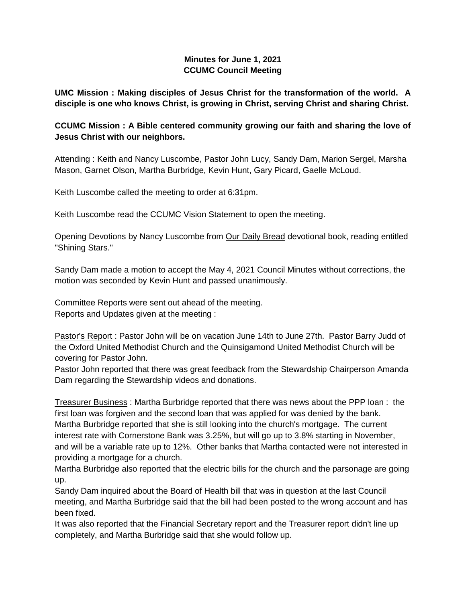# **Minutes for June 1, 2021 CCUMC Council Meeting**

**UMC Mission : Making disciples of Jesus Christ for the transformation of the world. A disciple is one who knows Christ, is growing in Christ, serving Christ and sharing Christ.**

# **CCUMC Mission : A Bible centered community growing our faith and sharing the love of Jesus Christ with our neighbors.**

Attending : Keith and Nancy Luscombe, Pastor John Lucy, Sandy Dam, Marion Sergel, Marsha Mason, Garnet Olson, Martha Burbridge, Kevin Hunt, Gary Picard, Gaelle McLoud.

Keith Luscombe called the meeting to order at 6:31pm.

Keith Luscombe read the CCUMC Vision Statement to open the meeting.

Opening Devotions by Nancy Luscombe from Our Daily Bread devotional book, reading entitled "Shining Stars."

Sandy Dam made a motion to accept the May 4, 2021 Council Minutes without corrections, the motion was seconded by Kevin Hunt and passed unanimously.

Committee Reports were sent out ahead of the meeting. Reports and Updates given at the meeting :

Pastor's Report : Pastor John will be on vacation June 14th to June 27th. Pastor Barry Judd of the Oxford United Methodist Church and the Quinsigamond United Methodist Church will be covering for Pastor John.

Pastor John reported that there was great feedback from the Stewardship Chairperson Amanda Dam regarding the Stewardship videos and donations.

Treasurer Business : Martha Burbridge reported that there was news about the PPP loan : the first loan was forgiven and the second loan that was applied for was denied by the bank. Martha Burbridge reported that she is still looking into the church's mortgage. The current interest rate with Cornerstone Bank was 3.25%, but will go up to 3.8% starting in November, and will be a variable rate up to 12%. Other banks that Martha contacted were not interested in providing a mortgage for a church.

Martha Burbridge also reported that the electric bills for the church and the parsonage are going up.

Sandy Dam inquired about the Board of Health bill that was in question at the last Council meeting, and Martha Burbridge said that the bill had been posted to the wrong account and has been fixed.

It was also reported that the Financial Secretary report and the Treasurer report didn't line up completely, and Martha Burbridge said that she would follow up.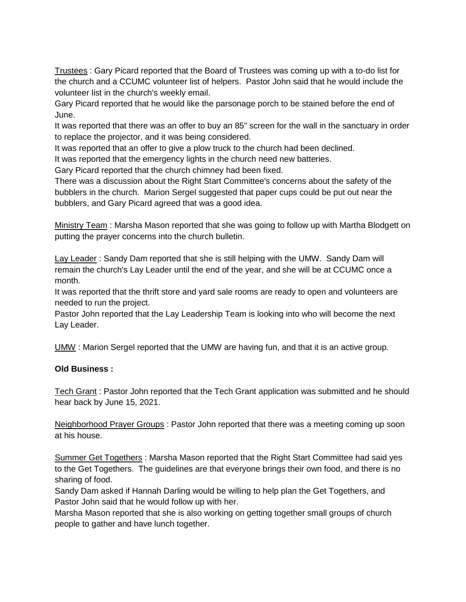Trustees : Gary Picard reported that the Board of Trustees was coming up with a to-do list for the church and a CCUMC volunteer list of helpers. Pastor John said that he would include the volunteer list in the church's weekly email.

Gary Picard reported that he would like the parsonage porch to be stained before the end of June.

It was reported that there was an offer to buy an 85" screen for the wall in the sanctuary in order to replace the projector, and it was being considered.

It was reported that an offer to give a plow truck to the church had been declined.

It was reported that the emergency lights in the church need new batteries.

Gary Picard reported that the church chimney had been fixed.

There was a discussion about the Right Start Committee's concerns about the safety of the bubblers in the church. Marion Sergel suggested that paper cups could be put out near the bubblers, and Gary Picard agreed that was a good idea.

Ministry Team: Marsha Mason reported that she was going to follow up with Martha Blodgett on putting the prayer concerns into the church bulletin.

Lay Leader : Sandy Dam reported that she is still helping with the UMW. Sandy Dam will remain the church's Lay Leader until the end of the year, and she will be at CCUMC once a month.

It was reported that the thrift store and yard sale rooms are ready to open and volunteers are needed to run the project.

Pastor John reported that the Lay Leadership Team is looking into who will become the next Lay Leader.

UMW : Marion Sergel reported that the UMW are having fun, and that it is an active group.

### **Old Business :**

**Tech Grant : Pastor John reported that the Tech Grant application was submitted and he should** hear back by June 15, 2021.

Neighborhood Prayer Groups : Pastor John reported that there was a meeting coming up soon at his house.

Summer Get Togethers : Marsha Mason reported that the Right Start Committee had said yes to the Get Togethers. The guidelines are that everyone brings their own food, and there is no sharing of food.

Sandy Dam asked if Hannah Darling would be willing to help plan the Get Togethers, and Pastor John said that he would follow up with her.

Marsha Mason reported that she is also working on getting together small groups of church people to gather and have lunch together.